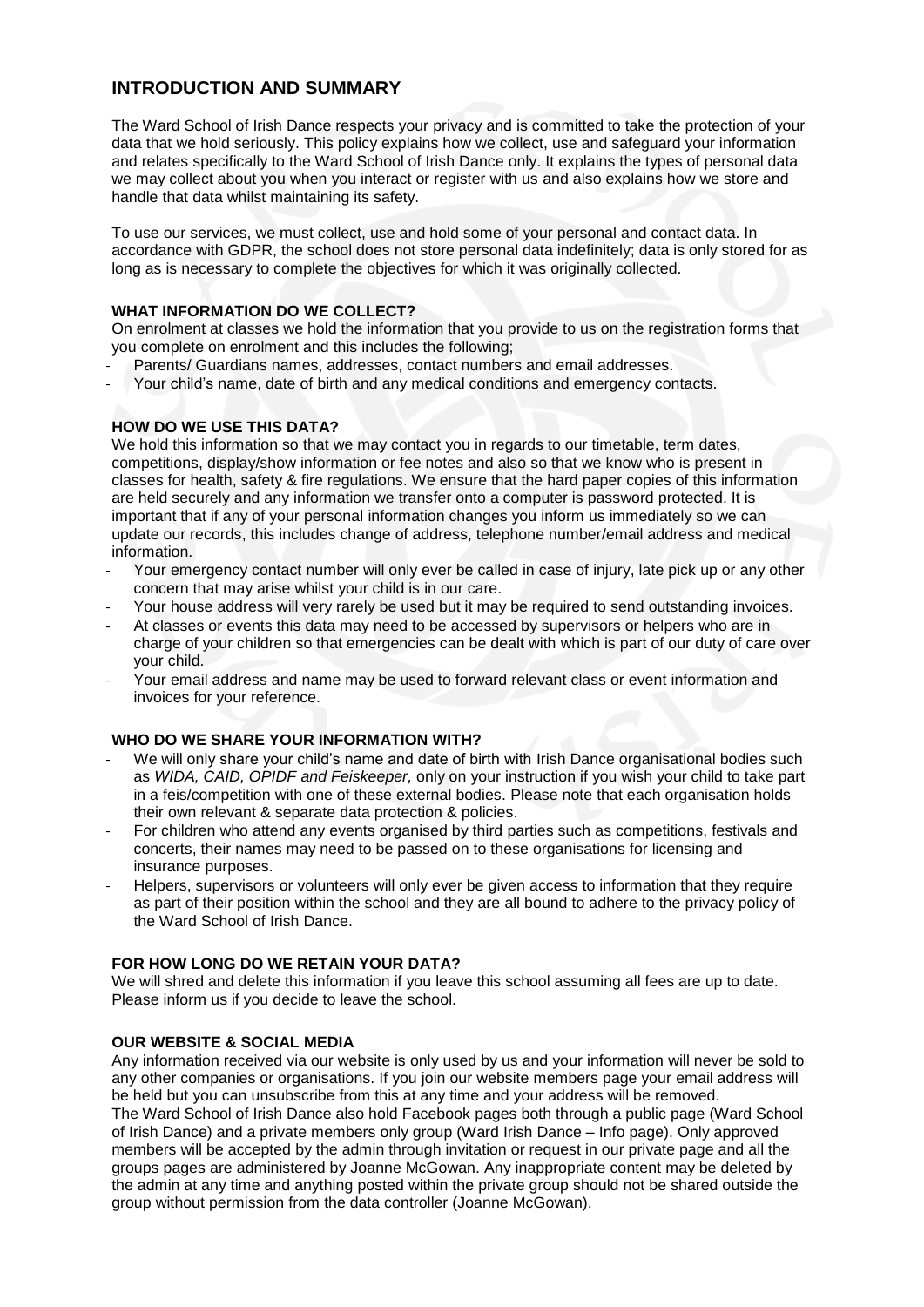# **INTRODUCTION AND SUMMARY**

The Ward School of Irish Dance respects your privacy and is committed to take the protection of your data that we hold seriously. This policy explains how we collect, use and safeguard your information and relates specifically to the Ward School of Irish Dance only. It explains the types of personal data we may collect about you when you interact or register with us and also explains how we store and handle that data whilst maintaining its safety.

To use our services, we must collect, use and hold some of your personal and contact data. In accordance with GDPR, the school does not store personal data indefinitely; data is only stored for as long as is necessary to complete the objectives for which it was originally collected.

#### **WHAT INFORMATION DO WE COLLECT?**

On enrolment at classes we hold the information that you provide to us on the registration forms that you complete on enrolment and this includes the following;

- Parents/ Guardians names, addresses, contact numbers and email addresses.
- Your child's name, date of birth and any medical conditions and emergency contacts.

### **HOW DO WE USE THIS DATA?**

We hold this information so that we may contact you in regards to our timetable, term dates, competitions, display/show information or fee notes and also so that we know who is present in classes for health, safety & fire regulations. We ensure that the hard paper copies of this information are held securely and any information we transfer onto a computer is password protected. It is important that if any of your personal information changes you inform us immediately so we can update our records, this includes change of address, telephone number/email address and medical information.

- Your emergency contact number will only ever be called in case of injury, late pick up or any other concern that may arise whilst your child is in our care.
- Your house address will very rarely be used but it may be required to send outstanding invoices.
- At classes or events this data may need to be accessed by supervisors or helpers who are in charge of your children so that emergencies can be dealt with which is part of our duty of care over your child.
- Your email address and name may be used to forward relevant class or event information and invoices for your reference.

### **WHO DO WE SHARE YOUR INFORMATION WITH?**

- We will only share your child's name and date of birth with Irish Dance organisational bodies such as *WIDA, CAID, OPIDF and Feiskeeper,* only on your instruction if you wish your child to take part in a feis/competition with one of these external bodies. Please note that each organisation holds their own relevant & separate data protection & policies.
- For children who attend any events organised by third parties such as competitions, festivals and concerts, their names may need to be passed on to these organisations for licensing and insurance purposes.
- Helpers, supervisors or volunteers will only ever be given access to information that they require as part of their position within the school and they are all bound to adhere to the privacy policy of the Ward School of Irish Dance.

### **FOR HOW LONG DO WE RETAIN YOUR DATA?**

We will shred and delete this information if you leave this school assuming all fees are up to date. Please inform us if you decide to leave the school.

### **OUR WEBSITE & SOCIAL MEDIA**

Any information received via our website is only used by us and your information will never be sold to any other companies or organisations. If you join our website members page your email address will be held but you can unsubscribe from this at any time and your address will be removed.

The Ward School of Irish Dance also hold Facebook pages both through a public page (Ward School of Irish Dance) and a private members only group (Ward Irish Dance – Info page). Only approved members will be accepted by the admin through invitation or request in our private page and all the groups pages are administered by Joanne McGowan. Any inappropriate content may be deleted by the admin at any time and anything posted within the private group should not be shared outside the group without permission from the data controller (Joanne McGowan).